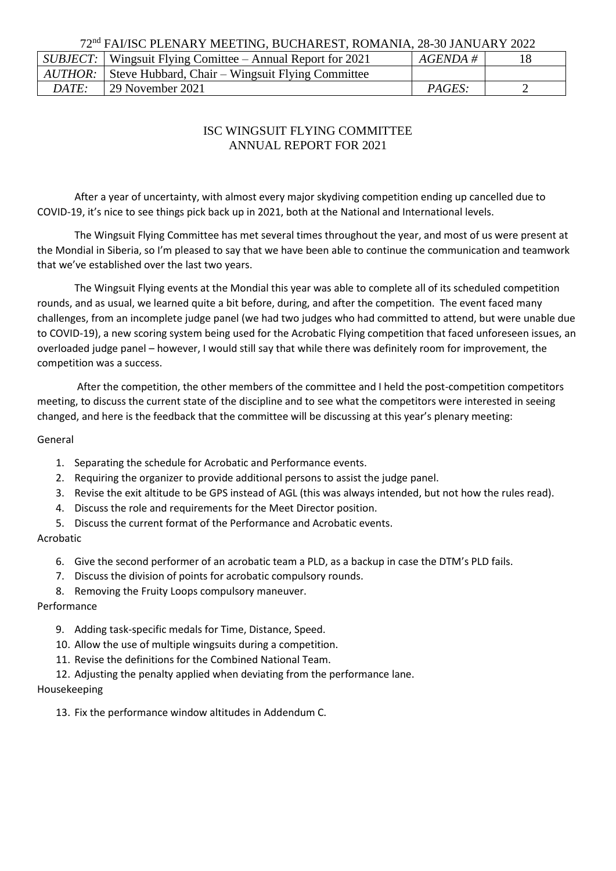## 72nd FAI/ISC PLENARY MEETING, BUCHAREST, ROMANIA, 28-30 JANUARY 2022

|       | <i>SUBJECT</i> : Wingsuit Flying Comittee – Annual Report for 2021 | $AGENDA \#$ |  |
|-------|--------------------------------------------------------------------|-------------|--|
|       | <i>AUTHOR:</i> Steve Hubbard, Chair – Wingsuit Flying Committee    |             |  |
| DATE: | <sup>1</sup> 29 November 2021                                      | PAGES:      |  |

# ISC WINGSUIT FLYING COMMITTEE ANNUAL REPORT FOR 2021

After a year of uncertainty, with almost every major skydiving competition ending up cancelled due to COVID-19, it's nice to see things pick back up in 2021, both at the National and International levels.

The Wingsuit Flying Committee has met several times throughout the year, and most of us were present at the Mondial in Siberia, so I'm pleased to say that we have been able to continue the communication and teamwork that we've established over the last two years.

The Wingsuit Flying events at the Mondial this year was able to complete all of its scheduled competition rounds, and as usual, we learned quite a bit before, during, and after the competition. The event faced many challenges, from an incomplete judge panel (we had two judges who had committed to attend, but were unable due to COVID-19), a new scoring system being used for the Acrobatic Flying competition that faced unforeseen issues, an overloaded judge panel – however, I would still say that while there was definitely room for improvement, the competition was a success.

After the competition, the other members of the committee and I held the post-competition competitors meeting, to discuss the current state of the discipline and to see what the competitors were interested in seeing changed, and here is the feedback that the committee will be discussing at this year's plenary meeting:

#### General

- 1. Separating the schedule for Acrobatic and Performance events.
- 2. Requiring the organizer to provide additional persons to assist the judge panel.
- 3. Revise the exit altitude to be GPS instead of AGL (this was always intended, but not how the rules read).
- 4. Discuss the role and requirements for the Meet Director position.
- 5. Discuss the current format of the Performance and Acrobatic events.

### Acrobatic

- 6. Give the second performer of an acrobatic team a PLD, as a backup in case the DTM's PLD fails.
- 7. Discuss the division of points for acrobatic compulsory rounds.
- 8. Removing the Fruity Loops compulsory maneuver.

### Performance

- 9. Adding task-specific medals for Time, Distance, Speed.
- 10. Allow the use of multiple wingsuits during a competition.
- 11. Revise the definitions for the Combined National Team.
- 12. Adjusting the penalty applied when deviating from the performance lane.

### Housekeeping

13. Fix the performance window altitudes in Addendum C.